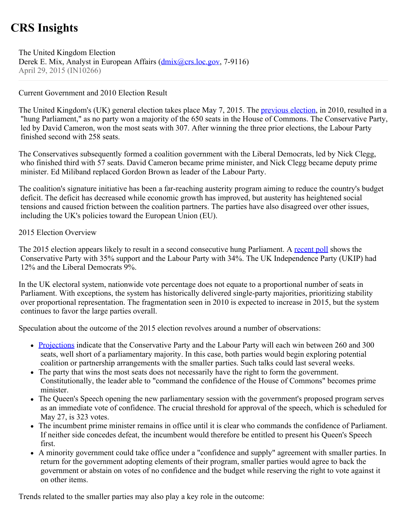# **CRS Insights**

The United Kingdom Election Derek E. Mix, Analyst in European Affairs (*dmix@crs.loc.gov*, 7-9116) April 29, 2015 (IN10266)

# Current Government and 2010 Election Result

The United Kingdom's (UK) general election takes place May 7, 2015. The [previous election](http://news.bbc.co.uk/2/shared/election2010/results/), in 2010, resulted in a "hung Parliament," as no party won a majority of the 650 seats in the House of Commons. The Conservative Party, led by David Cameron, won the most seats with 307. After winning the three prior elections, the Labour Party finished second with 258 seats.

The Conservatives subsequently formed a coalition government with the Liberal Democrats, led by Nick Clegg, who finished third with 57 seats. David Cameron became prime minister, and Nick Clegg became deputy prime minister. Ed Miliband replaced Gordon Brown as leader of the Labour Party.

The coalition's signature initiative has been a far-reaching austerity program aiming to reduce the country's budget deficit. The deficit has decreased while economic growth has improved, but austerity has heightened social tensions and caused friction between the coalition partners. The parties have also disagreed over other issues, including the UK's policies toward the European Union (EU).

### 2015 Election Overview

The 2015 election appears likely to result in a second consecutive hung Parliament. A [recent poll](https://yougov.co.uk/news/categories/politics/) shows the Conservative Party with 35% support and the Labour Party with 34%. The UK Independence Party (UKIP) had 12% and the Liberal Democrats 9%.

In the UK electoral system, nationwide vote percentage does not equate to a proportional number of seats in Parliament. With exceptions, the system has historically delivered single-party majorities, prioritizing stability over proportional representation. The fragmentation seen in 2010 is expected to increase in 2015, but the system continues to favor the large parties overall.

Speculation about the outcome of the 2015 election revolves around a number of observations:

- [Projections](http://www.electoralcalculus.co.uk/homepage.html) indicate that the Conservative Party and the Labour Party will each win between 260 and 300 seats, well short of a parliamentary majority. In this case, both parties would begin exploring potential coalition or partnership arrangements with the smaller parties. Such talks could last several weeks.
- The party that wins the most seats does not necessarily have the right to form the government. Constitutionally, the leader able to "command the confidence of the House of Commons" becomes prime minister.
- The Queen's Speech opening the new parliamentary session with the government's proposed program serves as an immediate vote of confidence. The crucial threshold for approval of the speech, which is scheduled for May 27, is 323 votes.
- The incumbent prime minister remains in office until it is clear who commands the confidence of Parliament. If neither side concedes defeat, the incumbent would therefore be entitled to present his Queen's Speech first.
- A minority government could take office under a "confidence and supply" agreement with smaller parties. In return for the government adopting elements of their program, smaller parties would agree to back the government or abstain on votes of no confidence and the budget while reserving the right to vote against it on other items.

Trends related to the smaller parties may also play a key role in the outcome: